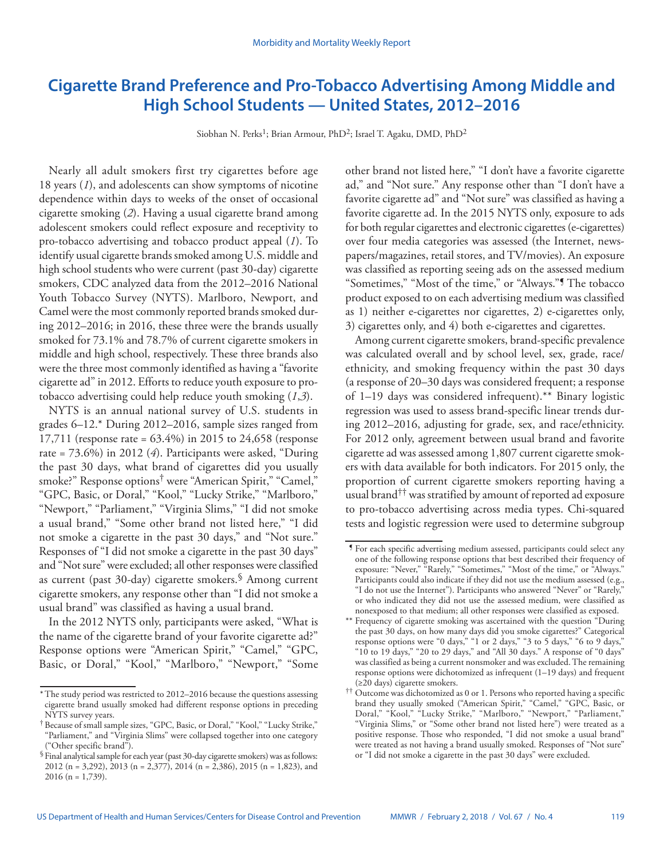# **Cigarette Brand Preference and Pro-Tobacco Advertising Among Middle and High School Students — United States, 2012–2016**

Siobhan N. Perks<sup>1</sup>; Brian Armour, PhD<sup>2</sup>; Israel T. Agaku, DMD, PhD<sup>2</sup>

Nearly all adult smokers first try cigarettes before age 18 years (*1*), and adolescents can show symptoms of nicotine dependence within days to weeks of the onset of occasional cigarette smoking (*2*). Having a usual cigarette brand among adolescent smokers could reflect exposure and receptivity to pro-tobacco advertising and tobacco product appeal (*1*). To identify usual cigarette brands smoked among U.S. middle and high school students who were current (past 30-day) cigarette smokers, CDC analyzed data from the 2012–2016 National Youth Tobacco Survey (NYTS). Marlboro, Newport, and Camel were the most commonly reported brands smoked during 2012–2016; in 2016, these three were the brands usually smoked for 73.1% and 78.7% of current cigarette smokers in middle and high school, respectively. These three brands also were the three most commonly identified as having a "favorite cigarette ad" in 2012. Efforts to reduce youth exposure to protobacco advertising could help reduce youth smoking (*1*,*3*).

NYTS is an annual national survey of U.S. students in grades 6–12.\* During 2012–2016, sample sizes ranged from 17,711 (response rate = 63.4%) in 2015 to 24,658 (response rate = 73.6%) in 2012 (*4*). Participants were asked, "During the past 30 days, what brand of cigarettes did you usually smoke?" Response options† were "American Spirit," "Camel," "GPC, Basic, or Doral," "Kool," "Lucky Strike," "Marlboro," "Newport," "Parliament," "Virginia Slims," "I did not smoke a usual brand," "Some other brand not listed here," "I did not smoke a cigarette in the past 30 days," and "Not sure." Responses of "I did not smoke a cigarette in the past 30 days" and "Not sure" were excluded; all other responses were classified as current (past 30-day) cigarette smokers.§ Among current cigarette smokers, any response other than "I did not smoke a usual brand" was classified as having a usual brand.

In the 2012 NYTS only, participants were asked, "What is the name of the cigarette brand of your favorite cigarette ad?" Response options were "American Spirit," "Camel," "GPC, Basic, or Doral," "Kool," "Marlboro," "Newport," "Some other brand not listed here," "I don't have a favorite cigarette ad," and "Not sure." Any response other than "I don't have a favorite cigarette ad" and "Not sure" was classified as having a favorite cigarette ad. In the 2015 NYTS only, exposure to ads for both regular cigarettes and electronic cigarettes (e-cigarettes) over four media categories was assessed (the Internet, newspapers/magazines, retail stores, and TV/movies). An exposure was classified as reporting seeing ads on the assessed medium "Sometimes," "Most of the time," or "Always."¶ The tobacco product exposed to on each advertising medium was classified as 1) neither e-cigarettes nor cigarettes, 2) e-cigarettes only, 3) cigarettes only, and 4) both e-cigarettes and cigarettes.

Among current cigarette smokers, brand-specific prevalence was calculated overall and by school level, sex, grade, race/ ethnicity, and smoking frequency within the past 30 days (a response of 20–30 days was considered frequent; a response of 1–19 days was considered infrequent).\*\* Binary logistic regression was used to assess brand-specific linear trends during 2012–2016, adjusting for grade, sex, and race/ethnicity. For 2012 only, agreement between usual brand and favorite cigarette ad was assessed among 1,807 current cigarette smokers with data available for both indicators. For 2015 only, the proportion of current cigarette smokers reporting having a usual brand†† was stratified by amount of reported ad exposure to pro-tobacco advertising across media types. Chi-squared tests and logistic regression were used to determine subgroup

<sup>\*</sup>The study period was restricted to 2012–2016 because the questions assessing cigarette brand usually smoked had different response options in preceding NYTS survey years.

<sup>†</sup>Because of small sample sizes, "GPC, Basic, or Doral," "Kool," "Lucky Strike," "Parliament," and "Virginia Slims" were collapsed together into one category ("Other specific brand").

<sup>§</sup>Final analytical sample for each year (past 30-day cigarette smokers) was as follows: 2012 (n = 3,292), 2013 (n = 2,377), 2014 (n = 2,386), 2015 (n = 1,823), and 2016 (n = 1,739).

<sup>¶</sup> For each specific advertising medium assessed, participants could select any one of the following response options that best described their frequency of exposure: "Never," "Rarely," "Sometimes," "Most of the time," or "Always." Participants could also indicate if they did not use the medium assessed (e.g., "I do not use the Internet"). Participants who answered "Never" or "Rarely," or who indicated they did not use the assessed medium, were classified as nonexposed to that medium; all other responses were classified as exposed.

<sup>\*\*</sup> Frequency of cigarette smoking was ascertained with the question "During the past 30 days, on how many days did you smoke cigarettes?" Categorical response options were "0 days," "1 or 2 days," "3 to 5 days," "6 to 9 days," "10 to 19 days," "20 to 29 days," and "All 30 days." A response of "0 days" was classified as being a current nonsmoker and was excluded. The remaining response options were dichotomized as infrequent (1–19 days) and frequent (≥20 days) cigarette smokers.

<sup>††</sup> Outcome was dichotomized as 0 or 1. Persons who reported having a specific brand they usually smoked ("American Spirit," "Camel," "GPC, Basic, or Doral," "Kool," "Lucky Strike," "Marlboro," "Newport," "Parliament," "Virginia Slims," or "Some other brand not listed here") were treated as a positive response. Those who responded, "I did not smoke a usual brand" were treated as not having a brand usually smoked. Responses of "Not sure" or "I did not smoke a cigarette in the past 30 days" were excluded.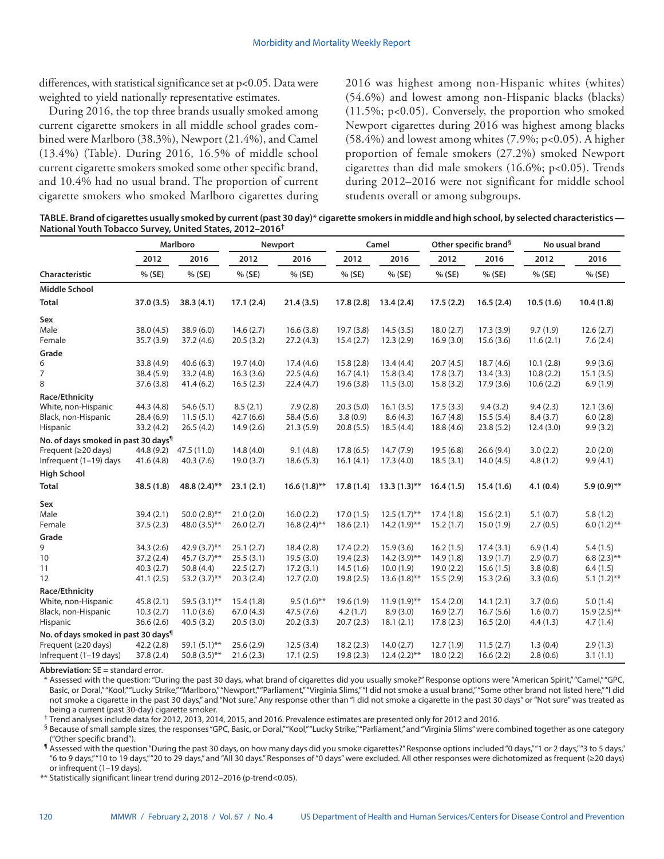differences, with statistical significance set at p<0.05. Data were weighted to yield nationally representative estimates.

During 2016, the top three brands usually smoked among current cigarette smokers in all middle school grades combined were Marlboro (38.3%), Newport (21.4%), and Camel (13.4%) (Table). During 2016, 16.5% of middle school current cigarette smokers smoked some other specific brand, and 10.4% had no usual brand. The proportion of current cigarette smokers who smoked Marlboro cigarettes during 2016 was highest among non-Hispanic whites (whites) (54.6%) and lowest among non-Hispanic blacks (blacks) (11.5%; p<0.05). Conversely, the proportion who smoked Newport cigarettes during 2016 was highest among blacks  $(58.4\%)$  and lowest among whites  $(7.9\%; p<0.05)$ . A higher proportion of female smokers (27.2%) smoked Newport cigarettes than did male smokers (16.6%; p<0.05). Trends during 2012–2016 were not significant for middle school students overall or among subgroups.

**TABLE. Brand of cigarettes usually smoked by current (past 30 day)\* cigarette smokers in middle and high school, by selected characteristics — National Youth Tobacco Survey, United States, 2012–2016†**

|                                                 | <b>Marlboro</b> |                 | <b>Newport</b> |                | Camel     |                | Other specific brand <sup>§</sup> |           | No usual brand |                |
|-------------------------------------------------|-----------------|-----------------|----------------|----------------|-----------|----------------|-----------------------------------|-----------|----------------|----------------|
|                                                 | 2012            | 2016            | 2012           | 2016           | 2012      | 2016           | 2012                              | 2016      | 2012           | 2016           |
| Characteristic                                  | % (SE)          | % (SE)          | % (SE)         | % (SE)         | % (SE)    | % (SE)         | % (SE)                            | % (SE)    | $%$ (SE)       | % (SE)         |
| <b>Middle School</b>                            |                 |                 |                |                |           |                |                                   |           |                |                |
| <b>Total</b>                                    | 37.0(3.5)       | 38.3(4.1)       | 17.1(2.4)      | 21.4(3.5)      | 17.8(2.8) | 13.4(2.4)      | 17.5(2.2)                         | 16.5(2.4) | 10.5(1.6)      | 10.4(1.8)      |
| Sex                                             |                 |                 |                |                |           |                |                                   |           |                |                |
| Male                                            | 38.0 (4.5)      | 38.9(6.0)       | 14.6(2.7)      | 16.6(3.8)      | 19.7(3.8) | 14.5(3.5)      | 18.0(2.7)                         | 17.3(3.9) | 9.7(1.9)       | 12.6(2.7)      |
| Female                                          | 35.7(3.9)       | 37.2(4.6)       | 20.5(3.2)      | 27.2(4.3)      | 15.4(2.7) | 12.3(2.9)      | 16.9(3.0)                         | 15.6(3.6) | 11.6(2.1)      | 7.6(2.4)       |
| Grade                                           |                 |                 |                |                |           |                |                                   |           |                |                |
| 6                                               | 33.8 (4.9)      | 40.6(6.3)       | 19.7(4.0)      | 17.4(4.6)      | 15.8(2.8) | 13.4(4.4)      | 20.7(4.5)                         | 18.7(4.6) | 10.1(2.8)      | 9.9(3.6)       |
| 7                                               | 38.4 (5.9)      | 33.2(4.8)       | 16.3(3.6)      | 22.5(4.6)      | 16.7(4.1) | 15.8(3.4)      | 17.8(3.7)                         | 13.4(3.3) | 10.8(2.2)      | 15.1(3.5)      |
| 8                                               | 37.6(3.8)       | 41.4(6.2)       | 16.5(2.3)      | 22.4(4.7)      | 19.6(3.8) | 11.5(3.0)      | 15.8(3.2)                         | 17.9(3.6) | 10.6(2.2)      | 6.9(1.9)       |
| Race/Ethnicity                                  |                 |                 |                |                |           |                |                                   |           |                |                |
| White, non-Hispanic                             | 44.3 (4.8)      | 54.6(5.1)       | 8.5(2.1)       | 7.9(2.8)       | 20.3(5.0) | 16.1(3.5)      | 17.5(3.3)                         | 9.4(3.2)  | 9.4(2.3)       | 12.1(3.6)      |
| Black, non-Hispanic                             | 28.4(6.9)       | 11.5(5.1)       | 42.7(6.6)      | 58.4 (5.6)     | 3.8(0.9)  | 8.6(4.3)       | 16.7(4.8)                         | 15.5(5.4) | 8.4(3.7)       | 6.0(2.8)       |
| Hispanic                                        | 33.2 (4.2)      | 26.5(4.2)       | 14.9(2.6)      | 21.3(5.9)      | 20.8(5.5) | 18.5(4.4)      | 18.8 (4.6)                        | 23.8(5.2) | 12.4(3.0)      | 9.9(3.2)       |
| No. of days smoked in past 30 days <sup>1</sup> |                 |                 |                |                |           |                |                                   |           |                |                |
| Frequent (≥20 days)                             | 44.8 (9.2)      | 47.5 (11.0)     | 14.8(4.0)      | 9.1(4.8)       | 17.8(6.5) | 14.7(7.9)      | 19.5(6.8)                         | 26.6(9.4) | 3.0(2.2)       | 2.0(2.0)       |
| Infrequent (1-19) days                          | 41.6(4.8)       | 40.3(7.6)       | 19.0(3.7)      | 18.6(5.3)      | 16.1(4.1) | 17.3(4.0)      | 18.5(3.1)                         | 14.0(4.5) | 4.8(1.2)       | 9.9(4.1)       |
| <b>High School</b>                              |                 |                 |                |                |           |                |                                   |           |                |                |
| <b>Total</b>                                    | 38.5(1.8)       | 48.8 (2.4)**    | 23.1(2.1)      | $16.6(1.8)$ ** | 17.8(1.4) | $13.3(1.3)$ ** | 16.4(1.5)                         | 15.4(1.6) | 4.1(0.4)       | $5.9(0.9)$ **  |
| Sex                                             |                 |                 |                |                |           |                |                                   |           |                |                |
| Male                                            | 39.4(2.1)       | 50.0 $(2.8)$ ** | 21.0(2.0)      | 16.0(2.2)      | 17.0(1.5) | $12.5(1.7)$ ** | 17.4(1.8)                         | 15.6(2.1) | 5.1(0.7)       | 5.8(1.2)       |
| Female                                          | 37.5(2.3)       | 48.0 (3.5)**    | 26.0(2.7)      | $16.8(2.4)$ ** | 18.6(2.1) | $14.2(1.9)$ ** | 15.2(1.7)                         | 15.0(1.9) | 2.7(0.5)       | $6.0(1.2)$ **  |
| Grade                                           |                 |                 |                |                |           |                |                                   |           |                |                |
| 9                                               | 34.3 (2.6)      | 42.9 $(3.7)$ ** | 25.1(2.7)      | 18.4(2.8)      | 17.4(2.2) | 15.9(3.6)      | 16.2(1.5)                         | 17.4(3.1) | 6.9(1.4)       | 5.4(1.5)       |
| 10                                              | 37.2(2.4)       | $45.7(3.7)$ **  | 25.5(3.1)      | 19.5(3.0)      | 19.4(2.3) | $14.2(3.9)$ ** | 14.9(1.8)                         | 13.9(1.7) | 2.9(0.7)       | $6.8(2.3)$ **  |
| 11                                              | 40.3(2.7)       | 50.8(4.4)       | 22.5(2.7)      | 17.2(3.1)      | 14.5(1.6) | 10.0(1.9)      | 19.0(2.2)                         | 15.6(1.5) | 3.8(0.8)       | 6.4(1.5)       |
| 12                                              | 41.1(2.5)       | 53.2 $(3.7)$ ** | 20.3(2.4)      | 12.7(2.0)      | 19.8(2.5) | $13.6(1.8)$ ** | 15.5(2.9)                         | 15.3(2.6) | 3.3(0.6)       | $5.1(1.2)$ **  |
| Race/Ethnicity                                  |                 |                 |                |                |           |                |                                   |           |                |                |
| White, non-Hispanic                             | 45.8(2.1)       | 59.5 $(3.1)$ ** | 15.4(1.8)      | $9.5(1.6)$ **  | 19.6(1.9) | $11.9(1.9)$ ** | 15.4(2.0)                         | 14.1(2.1) | 3.7(0.6)       | 5.0(1.4)       |
| Black, non-Hispanic                             | 10.3(2.7)       | 11.0(3.6)       | 67.0(4.3)      | 47.5(7.6)      | 4.2(1.7)  | 8.9(3.0)       | 16.9(2.7)                         | 16.7(5.6) | 1.6(0.7)       | $15.9(2.5)$ ** |
| Hispanic                                        | 36.6(2.6)       | 40.5(3.2)       | 20.5(3.0)      | 20.2(3.3)      | 20.7(2.3) | 18.1(2.1)      | 17.8(2.3)                         | 16.5(2.0) | 4.4(1.3)       | 4.7(1.4)       |
| No. of days smoked in past 30 days <sup>1</sup> |                 |                 |                |                |           |                |                                   |           |                |                |
| Frequent (≥20 days)                             | 42.2(2.8)       | 59.1 $(5.1)$ ** | 25.6(2.9)      | 12.5(3.4)      | 18.2(2.3) | 14.0(2.7)      | 12.7(1.9)                         | 11.5(2.7) | 1.3(0.4)       | 2.9(1.3)       |
| Infrequent (1-19 days)                          | 37.8 (2.4)      | 50.8 $(3.5)$ ** | 21.6(2.3)      | 17.1(2.5)      | 19.8(2.3) | $12.4(2.2)$ ** | 18.0(2.2)                         | 16.6(2.2) | 2.8(0.6)       | 3.1(1.1)       |

**Abbreviation:** SE = standard error.

\* Assessed with the question: "During the past 30 days, what brand of cigarettes did you usually smoke?" Response options were "American Spirit," "Camel," "GPC, Basic, or Doral,""Kool,""Lucky Strike,""Marlboro,""Newport,""Parliament,""Virginia Slims,""I did not smoke a usual brand,""Some other brand not listed here,""I did not smoke a cigarette in the past 30 days," and "Not sure." Any response other than "I did not smoke a cigarette in the past 30 days" or "Not sure" was treated as being a current (past 30-day) cigarette smoker.

† Trend analyses include data for 2012, 2013, 2014, 2015, and 2016. Prevalence estimates are presented only for 2012 and 2016.

§ Because of small sample sizes, the responses "GPC, Basic, or Doral," "Kool," "Lucky Strike," "Parliament," and "Virginia Slims" were combined together as one category ("Other specific brand").

¶ Assessed with the question "During the past 30 days, on how many days did you smoke cigarettes?" Response options included "0 days," "1 or 2 days," "3 to 5 days," "6 to 9 days," "10 to 19 days," "20 to 29 days," and "All 30 days." Responses of "0 days" were excluded. All other responses were dichotomized as frequent (≥20 days) or infrequent (1–19 days).

\*\* Statistically significant linear trend during 2012–2016 (p-trend<0.05).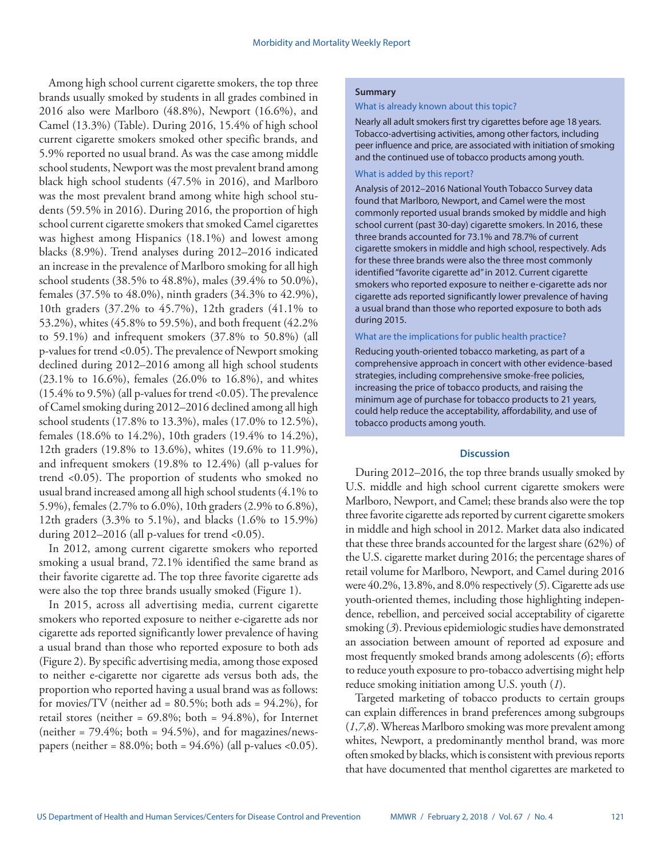Among high school current cigarette smokers, the top three brands usually smoked by students in all grades combined in 2016 also were Marlboro (48.8%), Newport (16.6%), and Camel (13.3%) (Table). During 2016, 15.4% of high school current cigarette smokers smoked other specific brands, and 5.9% reported no usual brand. As was the case among middle school students, Newport was the most prevalent brand among black high school students (47.5% in 2016), and Marlboro was the most prevalent brand among white high school students (59.5% in 2016). During 2016, the proportion of high school current cigarette smokers that smoked Camel cigarettes was highest among Hispanics (18.1%) and lowest among blacks (8.9%). Trend analyses during 2012–2016 indicated an increase in the prevalence of Marlboro smoking for all high school students (38.5% to 48.8%), males (39.4% to 50.0%), females (37.5% to 48.0%), ninth graders (34.3% to 42.9%), 10th graders (37.2% to 45.7%), 12th graders (41.1% to 53.2%), whites (45.8% to 59.5%), and both frequent (42.2% to 59.1%) and infrequent smokers (37.8% to 50.8%) (all p-values for trend <0.05). The prevalence of Newport smoking declined during 2012–2016 among all high school students (23.1% to 16.6%), females (26.0% to 16.8%), and whites (15.4% to 9.5%) (all p-values for trend <0.05). The prevalence of Camel smoking during 2012–2016 declined among all high school students (17.8% to 13.3%), males (17.0% to 12.5%), females (18.6% to 14.2%), 10th graders (19.4% to 14.2%), 12th graders (19.8% to 13.6%), whites (19.6% to 11.9%), and infrequent smokers (19.8% to 12.4%) (all p-values for trend <0.05). The proportion of students who smoked no usual brand increased among all high school students (4.1% to 5.9%), females (2.7% to 6.0%), 10th graders (2.9% to 6.8%), 12th graders (3.3% to 5.1%), and blacks (1.6% to 15.9%) during  $2012-2016$  (all p-values for trend <0.05).

In 2012, among current cigarette smokers who reported smoking a usual brand, 72.1% identified the same brand as their favorite cigarette ad. The top three favorite cigarette ads were also the top three brands usually smoked (Figure 1).

In 2015, across all advertising media, current cigarette smokers who reported exposure to neither e-cigarette ads nor cigarette ads reported significantly lower prevalence of having a usual brand than those who reported exposure to both ads (Figure 2). By specific advertising media, among those exposed to neither e-cigarette nor cigarette ads versus both ads, the proportion who reported having a usual brand was as follows: for movies/TV (neither  $ad = 80.5\%$ ; both  $ads = 94.2\%$ ), for retail stores (neither = 69.8%; both = 94.8%), for Internet (neither =  $79.4\%$ ; both =  $94.5\%$ ), and for magazines/newspapers (neither =  $88.0\%$ ; both =  $94.6\%$ ) (all p-values < 0.05).

# **Summary**

#### What is already known about this topic?

Nearly all adult smokers first try cigarettes before age 18 years. Tobacco-advertising activities, among other factors, including peer influence and price, are associated with initiation of smoking and the continued use of tobacco products among youth.

#### What is added by this report?

Analysis of 2012–2016 National Youth Tobacco Survey data found that Marlboro, Newport, and Camel were the most commonly reported usual brands smoked by middle and high school current (past 30-day) cigarette smokers. In 2016, these three brands accounted for 73.1% and 78.7% of current cigarette smokers in middle and high school, respectively. Ads for these three brands were also the three most commonly identified "favorite cigarette ad" in 2012. Current cigarette smokers who reported exposure to neither e-cigarette ads nor cigarette ads reported significantly lower prevalence of having a usual brand than those who reported exposure to both ads during 2015.

#### What are the implications for public health practice?

Reducing youth-oriented tobacco marketing, as part of a comprehensive approach in concert with other evidence-based strategies, including comprehensive smoke-free policies, increasing the price of tobacco products, and raising the minimum age of purchase for tobacco products to 21 years, could help reduce the acceptability, affordability, and use of tobacco products among youth.

## **Discussion**

During 2012–2016, the top three brands usually smoked by U.S. middle and high school current cigarette smokers were Marlboro, Newport, and Camel; these brands also were the top three favorite cigarette ads reported by current cigarette smokers in middle and high school in 2012. Market data also indicated that these three brands accounted for the largest share (62%) of the U.S. cigarette market during 2016; the percentage shares of retail volume for Marlboro, Newport, and Camel during 2016 were 40.2%, 13.8%, and 8.0% respectively (*5*). Cigarette ads use youth-oriented themes, including those highlighting independence, rebellion, and perceived social acceptability of cigarette smoking (*3*). Previous epidemiologic studies have demonstrated an association between amount of reported ad exposure and most frequently smoked brands among adolescents (*6*); efforts to reduce youth exposure to pro-tobacco advertising might help reduce smoking initiation among U.S. youth (*1*).

Targeted marketing of tobacco products to certain groups can explain differences in brand preferences among subgroups (*1*,*7*,*8*). Whereas Marlboro smoking was more prevalent among whites, Newport, a predominantly menthol brand, was more often smoked by blacks, which is consistent with previous reports that have documented that menthol cigarettes are marketed to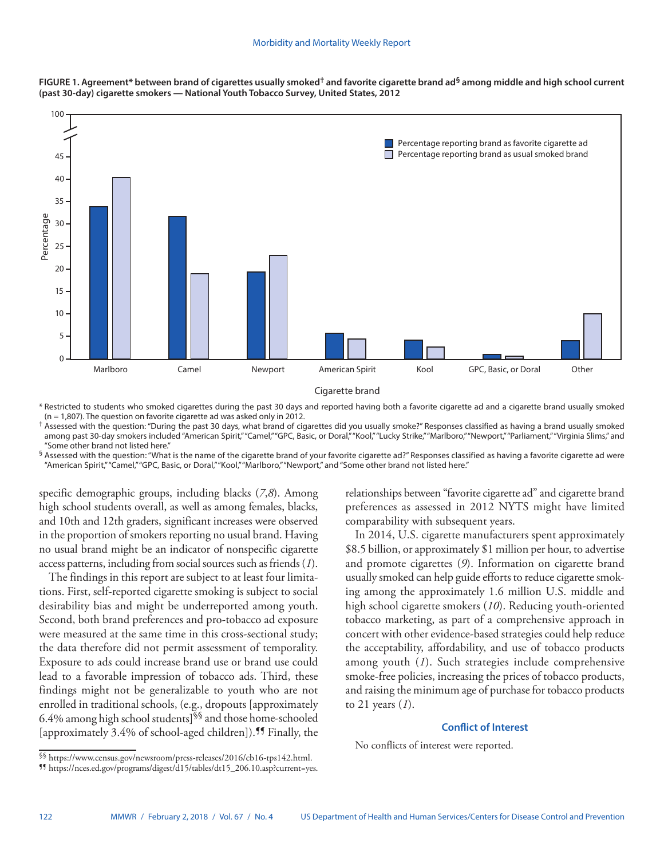



\* Restricted to students who smoked cigarettes during the past 30 days and reported having both a favorite cigarette ad and a cigarette brand usually smoked  $(n = 1.807)$ . The question on favorite cigarette ad was asked only in 2012.

† Assessed with the question: "During the past 30 days, what brand of cigarettes did you usually smoke?" Responses classified as having a brand usually smoked among past 30-day smokers included "American Spirit," "Camel," "GPC, Basic, or Doral," "Kool," "Lucky Strike," "Marlboro," "Newport," "Parliament," "Virginia Slims," and "Some other brand not listed here."

 $\frac{6}{3}$  Assessed with the question: "What is the name of the cigarette brand of your favorite cigarette ad?" Responses classified as having a favorite cigarette ad were "American Spirit," "Camel," "GPC, Basic, or Doral," "Kool," "Marlboro," "Newport," and "Some other brand not listed here."

specific demographic groups, including blacks (*7*,*8*). Among high school students overall, as well as among females, blacks, and 10th and 12th graders, significant increases were observed in the proportion of smokers reporting no usual brand. Having no usual brand might be an indicator of nonspecific cigarette access patterns, including from social sources such as friends (*1*).

The findings in this report are subject to at least four limitations. First, self-reported cigarette smoking is subject to social desirability bias and might be underreported among youth. Second, both brand preferences and pro-tobacco ad exposure were measured at the same time in this cross-sectional study; the data therefore did not permit assessment of temporality. Exposure to ads could increase brand use or brand use could lead to a favorable impression of tobacco ads. Third, these findings might not be generalizable to youth who are not enrolled in traditional schools, (e.g., dropouts [approximately 6.4% among high school students]§§ and those home-schooled [approximately 3.4% of school-aged children]).<sup>11</sup> Finally, the relationships between "favorite cigarette ad" and cigarette brand preferences as assessed in 2012 NYTS might have limited comparability with subsequent years.

In 2014, U.S. cigarette manufacturers spent approximately \$8.5 billion, or approximately \$1 million per hour, to advertise and promote cigarettes (*9*). Information on cigarette brand usually smoked can help guide efforts to reduce cigarette smoking among the approximately 1.6 million U.S. middle and high school cigarette smokers (*10*). Reducing youth-oriented tobacco marketing, as part of a comprehensive approach in concert with other evidence-based strategies could help reduce the acceptability, affordability, and use of tobacco products among youth (*1*). Such strategies include comprehensive smoke-free policies, increasing the prices of tobacco products, and raising the minimum age of purchase for tobacco products to 21 years (*1*).

# **Conflict of Interest**

No conflicts of interest were reported.

<sup>§§</sup> <https://www.census.gov/newsroom/press-releases/2016/cb16-tps142.html>. ¶¶ [https://nces.ed.gov/programs/digest/d15/tables/dt15\\_206.10.asp?current=yes](https://nces.ed.gov/programs/digest/d15/tables/dt15_206.10.asp?current=yes).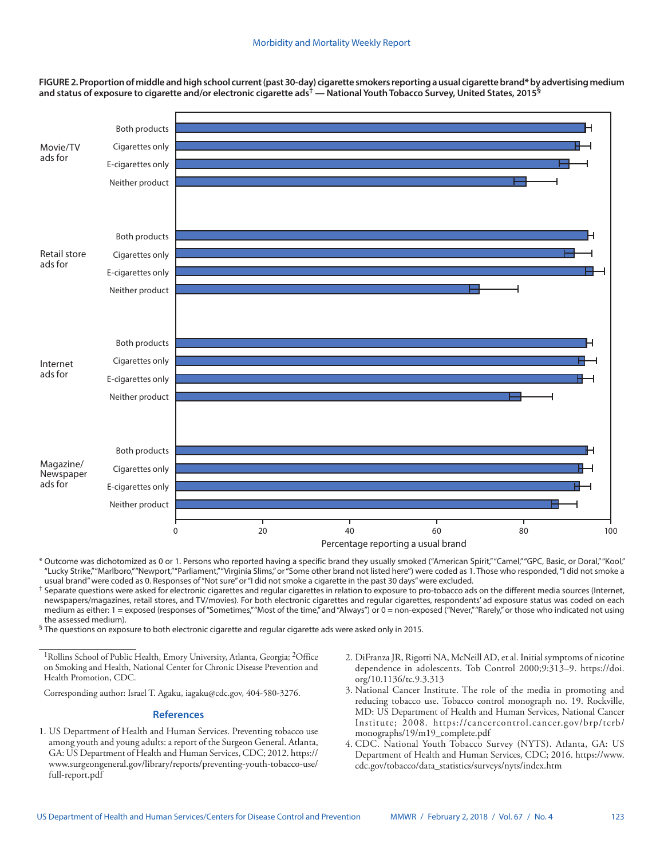**FIGURE 2. Proportion of middle and high school current (past 30-day) cigarette smokers reporting a usual cigarette brand\* by advertising medium and status of exposure to cigarette and/or electronic cigarette ads† — National Youth Tobacco Survey, United States, 2015§**



\* Outcome was dichotomized as 0 or 1. Persons who reported having a specific brand they usually smoked ("American Spirit," "Camel," "GPC, Basic, or Doral," "Kool," "Lucky Strike," "Marlboro," "Newport," "Parliament," "Virginia Slims," or "Some other brand not listed here") were coded as 1. Those who responded, "I did not smoke a usual brand" were coded as 0. Responses of "Not sure" or "I did not smoke a cigarette in the past 30 days" were excluded.

 $^{\dagger}$  Separate questions were asked for electronic cigarettes and regular cigarettes in relation to exposure to pro-tobacco ads on the different media sources (Internet, newspapers/magazines, retail stores, and TV/movies). For both electronic cigarettes and regular cigarettes, respondents' ad exposure status was coded on each medium as either: 1 = exposed (responses of "Sometimes," "Most of the time," and "Always") or 0 = non-exposed ("Never," "Rarely," or those who indicated not using the assessed medium).

§ The questions on exposure to both electronic cigarette and regular cigarette ads were asked only in 2015.

1Rollins School of Public Health, Emory University, Atlanta, Georgia; 2Office on Smoking and Health, National Center for Chronic Disease Prevention and Health Promotion, CDC.

Corresponding author: Israel T. Agaku, [iagaku@cdc.gov,](mailto:iagaku@cdc.gov) 404-580-3276.

### **References**

- 1. US Department of Health and Human Services. Preventing tobacco use among youth and young adults: a report of the Surgeon General. Atlanta, GA: US Department of Health and Human Services, CDC; 2012. [https://](https://www.surgeongeneral.gov/library/reports/preventing-youth-tobacco-use/full-report.pdf) [www.surgeongeneral.gov/library/reports/preventing-youth-tobacco-use/](https://www.surgeongeneral.gov/library/reports/preventing-youth-tobacco-use/full-report.pdf) [full-report.pdf](https://www.surgeongeneral.gov/library/reports/preventing-youth-tobacco-use/full-report.pdf)
- 2. DiFranza JR, Rigotti NA, McNeill AD, et al. Initial symptoms of nicotine dependence in adolescents. Tob Control 2000;9:313–9. [https://doi.](https://doi.org/10.1136/tc.9.3.313) [org/10.1136/tc.9.3.313](https://doi.org/10.1136/tc.9.3.313)
- 3. National Cancer Institute. The role of the media in promoting and reducing tobacco use. Tobacco control monograph no. 19. Rockville, MD: US Department of Health and Human Services, National Cancer Institute; 2008. [https://cancercontrol.cancer.gov/brp/tcrb/](https://cancercontrol.cancer.gov/brp/tcrb/monographs/19/m19_complete.pdf) [monographs/19/m19\\_complete.pdf](https://cancercontrol.cancer.gov/brp/tcrb/monographs/19/m19_complete.pdf)
- 4. CDC. National Youth Tobacco Survey (NYTS). Atlanta, GA: US Department of Health and Human Services, CDC; 2016. [https://www.](https://www.cdc.gov/tobacco/data_statistics/surveys/nyts/index.htm) [cdc.gov/tobacco/data\\_statistics/surveys/nyts/index.htm](https://www.cdc.gov/tobacco/data_statistics/surveys/nyts/index.htm)